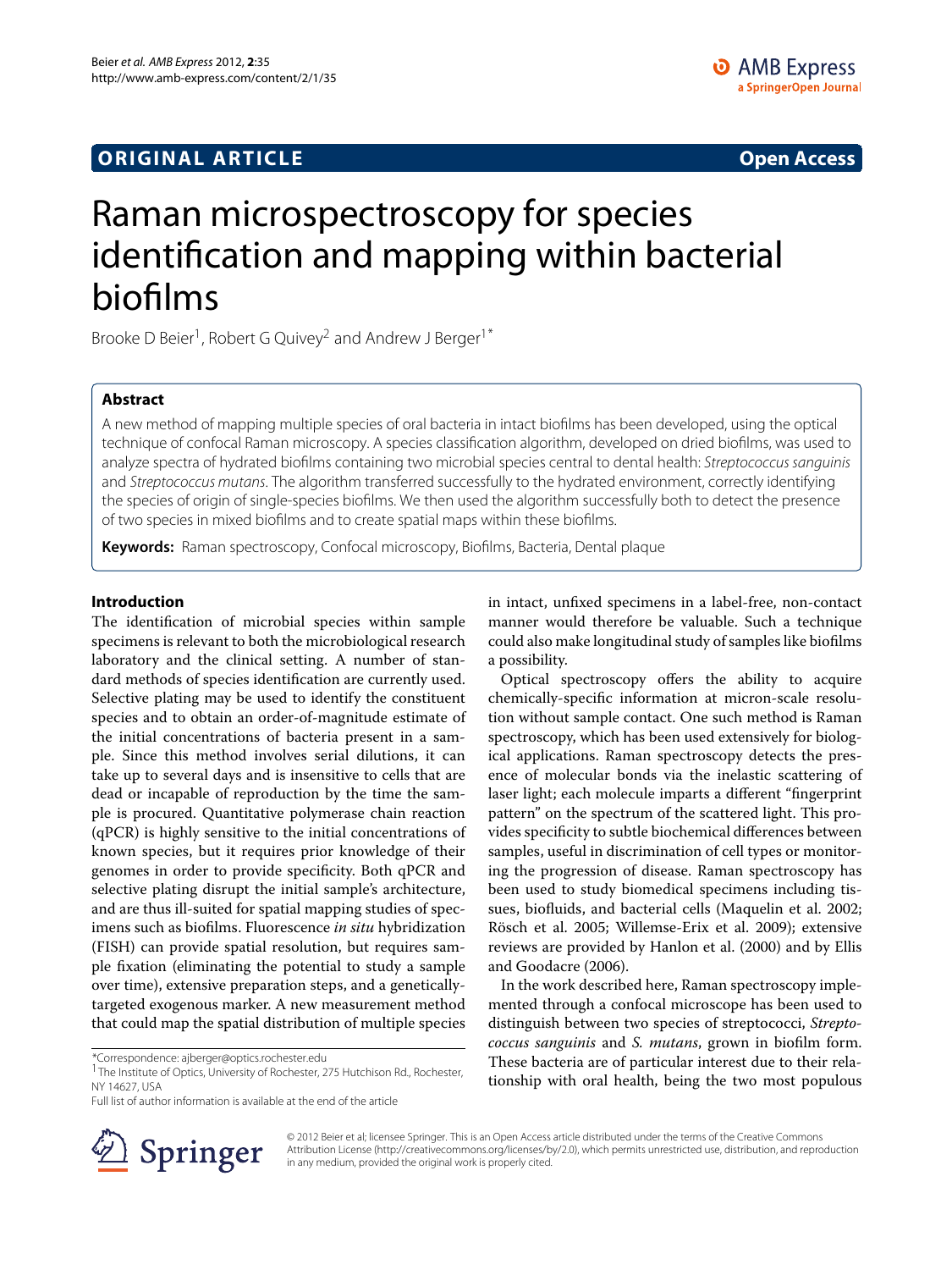# **ORIGINAL ARTICLE Open Access**

# Raman microspectroscopy for species identification and mapping within bacterial biofilms

Brooke D Beier<sup>1</sup>, Robert G Quivey<sup>2</sup> and Andrew J Berger<sup>1\*</sup>

# **Abstract**

A new method of mapping multiple species of oral bacteria in intact biofilms has been developed, using the optical technique of confocal Raman microscopy. A species classification algorithm, developed on dried biofilms, was used to analyze spectra of hydrated biofilms containing two microbial species central to dental health: Streptococcus sanguinis and Streptococcus mutans. The algorithm transferred successfully to the hydrated environment, correctly identifying the species of origin of single-species biofilms. We then used the algorithm successfully both to detect the presence of two species in mixed biofilms and to create spatial maps within these biofilms.

**Keywords:** Raman spectroscopy, Confocal microscopy, Biofilms, Bacteria, Dental plaque

# **Introduction**

The identification of microbial species within sample specimens is relevant to both the microbiological research laboratory and the clinical setting. A number of standard methods of species identification are currently used. Selective plating may be used to identify the constituent species and to obtain an order-of-magnitude estimate of the initial concentrations of bacteria present in a sample. Since this method involves serial dilutions, it can take up to several days and is insensitive to cells that are dead or incapable of reproduction by the time the sample is procured. Quantitative polymerase chain reaction (qPCR) is highly sensitive to the initial concentrations of known species, but it requires prior knowledge of their genomes in order to provide specificity. Both qPCR and selective plating disrupt the initial sample's architecture, and are thus ill-suited for spatial mapping studies of specimens such as biofilms. Fluorescence *in situ* hybridization (FISH) can provide spatial resolution, but requires sample fixation (eliminating the potential to study a sample over time), extensive preparation steps, and a geneticallytargeted exogenous marker. A new measurement method that could map the spatial distribution of multiple species

Full list of author information is available at the end of the article



in intact, unfixed specimens in a label-free, non-contact manner would therefore be valuable. Such a technique could also make longitudinal study of samples like biofilms a possibility.

Optical spectroscopy offers the ability to acquire chemically-specific information at micron-scale resolution without sample contact. One such method is Raman spectroscopy, which has been used extensively for biological applications. Raman spectroscopy detects the presence of molecular bonds via the inelastic scattering of laser light; each molecule imparts a different "fingerprint pattern" on the spectrum of the scattered light. This provides specificity to subtle biochemical differences between samples, useful in discrimination of cell types or monitoring the progression of disease. Raman spectroscopy has been used to study biomedical specimens including tissues, biofluids, and bacterial cells (Maquelin et al. [2002;](#page-5-0) Rösch et al. [2005;](#page-5-1) Willemse-Erix et al. [2009\)](#page-5-2); extensive reviews are provided by Hanlon et al. [\(2000\)](#page-5-3) and by Ellis and Goodacre [\(2006\)](#page-5-4).

In the work described here, Raman spectroscopy implemented through a confocal microscope has been used to distinguish between two species of streptococci, *Streptococcus sanguinis* and *S. mutans*, grown in biofilm form. These bacteria are of particular interest due to their relationship with oral health, being the two most populous

© 2012 Beier et al; licensee Springer. This is an Open Access article distributed under the terms of the Creative Commons Attribution License (http://creativecommons.org/licenses/by/2.0), which permits unrestricted use, distribution, and reproduction in any medium, provided the original work is properly cited.

<sup>\*</sup>Correspondence: ajberger@optics.rochester.edu

<sup>1</sup>The Institute of Optics, University of Rochester, 275 Hutchison Rd., Rochester, NY 14627, USA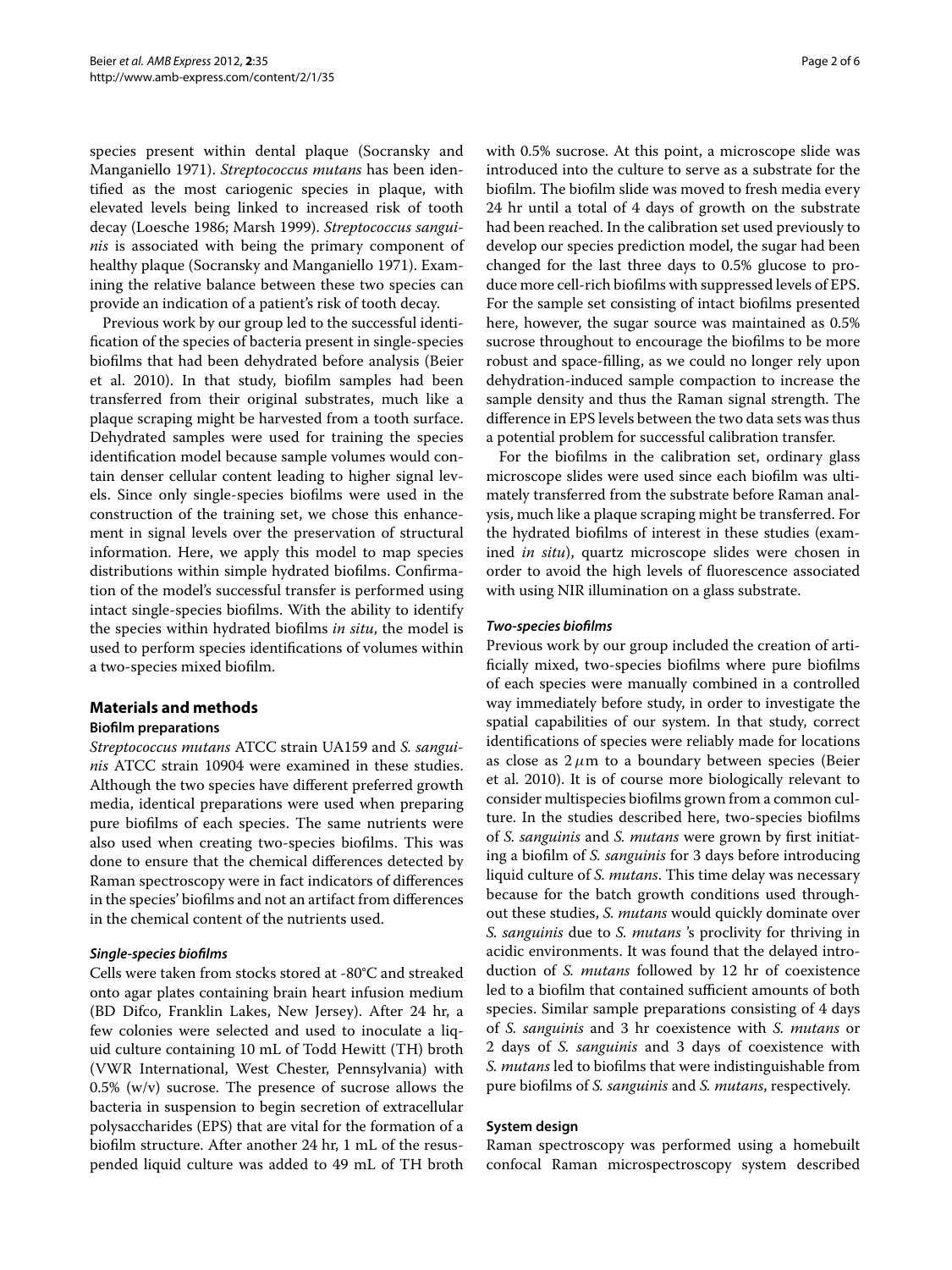species present within dental plaque (Socransky and Manganiello [1971\)](#page-5-5). *Streptococcus mutans* has been identified as the most cariogenic species in plaque, with elevated levels being linked to increased risk of tooth decay (Loesche [1986;](#page-5-6) Marsh [1999\)](#page-5-7). *Streptococcus sanguinis* is associated with being the primary component of healthy plaque (Socransky and Manganiello [1971\)](#page-5-5). Examining the relative balance between these two species can provide an indication of a patient's risk of tooth decay.

Previous work by our group led to the successful identification of the species of bacteria present in single-species biofilms that had been dehydrated before analysis (Beier et al. [2010\)](#page-5-8). In that study, biofilm samples had been transferred from their original substrates, much like a plaque scraping might be harvested from a tooth surface. Dehydrated samples were used for training the species identification model because sample volumes would contain denser cellular content leading to higher signal levels. Since only single-species biofilms were used in the construction of the training set, we chose this enhancement in signal levels over the preservation of structural information. Here, we apply this model to map species distributions within simple hydrated biofilms. Confirmation of the model's successful transfer is performed using intact single-species biofilms. With the ability to identify the species within hydrated biofilms *in situ*, the model is used to perform species identifications of volumes within a two-species mixed biofilm.

# **Materials and methods**

# **Biofilm preparations**

*Streptococcus mutans* ATCC strain UA159 and *S. sanguinis* ATCC strain 10904 were examined in these studies. Although the two species have different preferred growth media, identical preparations were used when preparing pure biofilms of each species. The same nutrients were also used when creating two-species biofilms. This was done to ensure that the chemical differences detected by Raman spectroscopy were in fact indicators of differences in the species' biofilms and not an artifact from differences in the chemical content of the nutrients used.

# *Single-species biofilms*

Cells were taken from stocks stored at -80°C and streaked onto agar plates containing brain heart infusion medium (BD Difco, Franklin Lakes, New Jersey). After 24 hr, a few colonies were selected and used to inoculate a liquid culture containing 10 mL of Todd Hewitt (TH) broth (VWR International, West Chester, Pennsylvania) with  $0.5\%$  (w/v) sucrose. The presence of sucrose allows the bacteria in suspension to begin secretion of extracellular polysaccharides (EPS) that are vital for the formation of a biofilm structure. After another 24 hr, 1 mL of the resuspended liquid culture was added to 49 mL of TH broth

with 0.5% sucrose. At this point, a microscope slide was introduced into the culture to serve as a substrate for the biofilm. The biofilm slide was moved to fresh media every 24 hr until a total of 4 days of growth on the substrate had been reached. In the calibration set used previously to develop our species prediction model, the sugar had been changed for the last three days to 0.5% glucose to produce more cell-rich biofilms with suppressed levels of EPS. For the sample set consisting of intact biofilms presented here, however, the sugar source was maintained as 0.5% sucrose throughout to encourage the biofilms to be more robust and space-filling, as we could no longer rely upon dehydration-induced sample compaction to increase the sample density and thus the Raman signal strength. The difference in EPS levels between the two data sets was thus a potential problem for successful calibration transfer.

For the biofilms in the calibration set, ordinary glass microscope slides were used since each biofilm was ultimately transferred from the substrate before Raman analysis, much like a plaque scraping might be transferred. For the hydrated biofilms of interest in these studies (examined *in situ*), quartz microscope slides were chosen in order to avoid the high levels of fluorescence associated with using NIR illumination on a glass substrate.

#### *Two-species biofilms*

Previous work by our group included the creation of artificially mixed, two-species biofilms where pure biofilms of each species were manually combined in a controlled way immediately before study, in order to investigate the spatial capabilities of our system. In that study, correct identifications of species were reliably made for locations as close as  $2 \mu m$  to a boundary between species (Beier et al. [2010\)](#page-5-8). It is of course more biologically relevant to consider multispecies biofilms grown from a common culture. In the studies described here, two-species biofilms of *S. sanguinis* and *S. mutans* were grown by first initiating a biofilm of *S. sanguinis* for 3 days before introducing liquid culture of *S. mutans*. This time delay was necessary because for the batch growth conditions used throughout these studies, *S. mutans* would quickly dominate over *S. sanguinis* due to *S. mutans* 's proclivity for thriving in acidic environments. It was found that the delayed introduction of *S. mutans* followed by 12 hr of coexistence led to a biofilm that contained sufficient amounts of both species. Similar sample preparations consisting of 4 days of *S. sanguinis* and 3 hr coexistence with *S. mutans* or 2 days of *S. sanguinis* and 3 days of coexistence with *S. mutans* led to biofilms that were indistinguishable from pure biofilms of *S. sanguinis* and *S. mutans*, respectively.

# **System design**

Raman spectroscopy was performed using a homebuilt confocal Raman microspectroscopy system described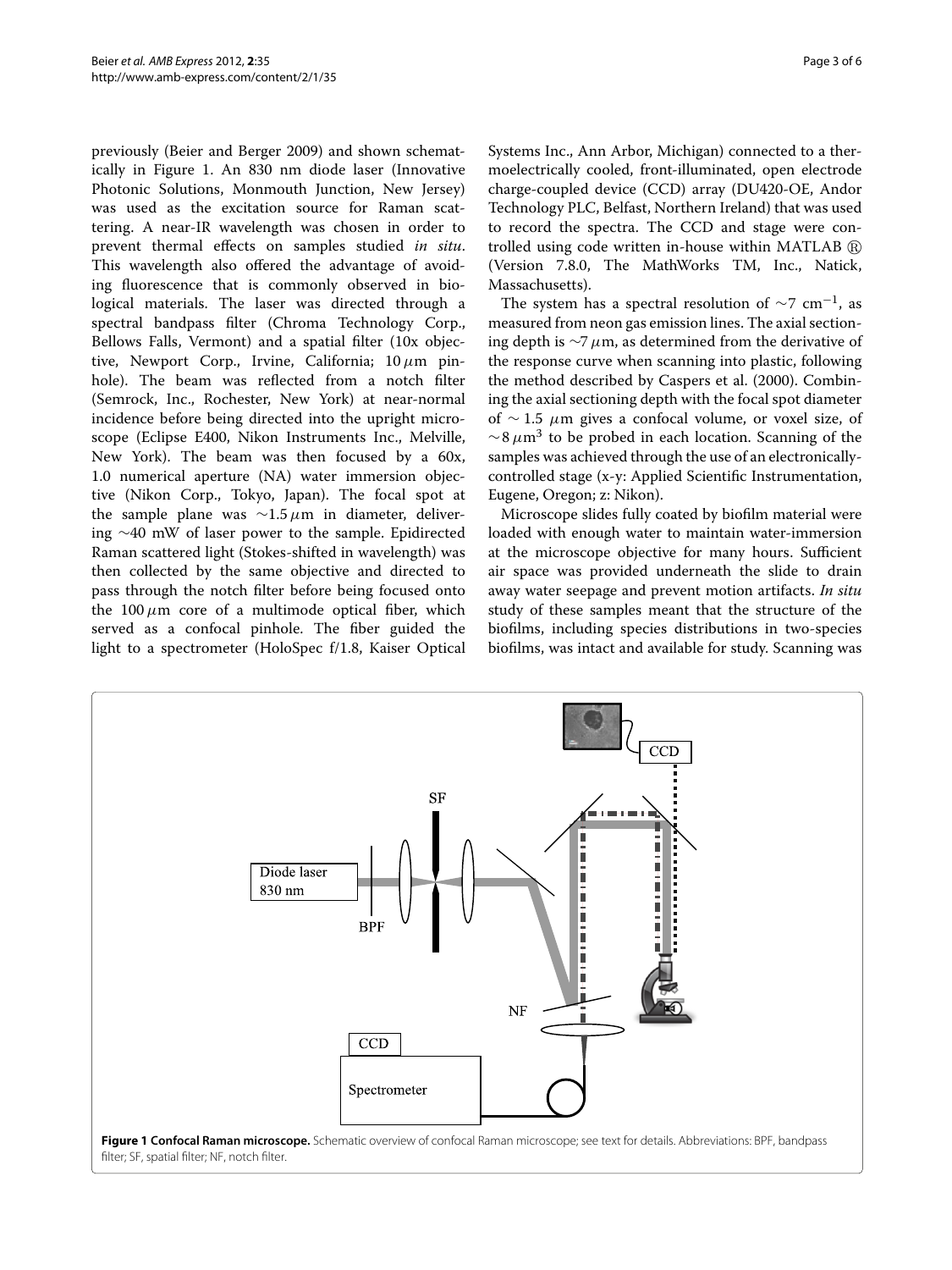previously (Beier and Berger [2009\)](#page-5-9) and shown schematically in Figure [1.](#page-2-0) An 830 nm diode laser (Innovative Photonic Solutions, Monmouth Junction, New Jersey) was used as the excitation source for Raman scattering. A near-IR wavelength was chosen in order to prevent thermal effects on samples studied *in situ*. This wavelength also offered the advantage of avoiding fluorescence that is commonly observed in biological materials. The laser was directed through a spectral bandpass filter (Chroma Technology Corp., Bellows Falls, Vermont) and a spatial filter (10x objective, Newport Corp., Irvine, California; 10*μ*m pinhole). The beam was reflected from a notch filter (Semrock, Inc., Rochester, New York) at near-normal incidence before being directed into the upright microscope (Eclipse E400, Nikon Instruments Inc., Melville, New York). The beam was then focused by a 60x, 1.0 numerical aperture (NA) water immersion objective (Nikon Corp., Tokyo, Japan). The focal spot at the sample plane was ∼1.5*μ*m in diameter, delivering ∼40 mW of laser power to the sample. Epidirected Raman scattered light (Stokes-shifted in wavelength) was then collected by the same objective and directed to pass through the notch filter before being focused onto the  $100 \mu m$  core of a multimode optical fiber, which served as a confocal pinhole. The fiber guided the light to a spectrometer (HoloSpec f/1.8, Kaiser Optical

Systems Inc., Ann Arbor, Michigan) connected to a thermoelectrically cooled, front-illuminated, open electrode charge-coupled device (CCD) array (DU420-OE, Andor Technology PLC, Belfast, Northern Ireland) that was used to record the spectra. The CCD and stage were controlled using code written in-house within MATLAB  $\scriptstyle\textcircled{\tiny{\textregistered}}}$ (Version 7.8.0, The MathWorks TM, Inc., Natick, Massachusetts).

The system has a spectral resolution of  $\sim$ 7 cm<sup>-1</sup>, as measured from neon gas emission lines. The axial sectioning depth is ∼7*μ*m, as determined from the derivative of the response curve when scanning into plastic, following the method described by Caspers et al. [\(2000\)](#page-5-10). Combining the axial sectioning depth with the focal spot diameter of ∼ 1.5 *μ*m gives a confocal volume, or voxel size, of <sup>∼</sup>8*μ*m<sup>3</sup> to be probed in each location. Scanning of the samples was achieved through the use of an electronicallycontrolled stage (x-y: Applied Scientific Instrumentation, Eugene, Oregon; z: Nikon).

Microscope slides fully coated by biofilm material were loaded with enough water to maintain water-immersion at the microscope objective for many hours. Sufficient air space was provided underneath the slide to drain away water seepage and prevent motion artifacts. *In situ* study of these samples meant that the structure of the biofilms, including species distributions in two-species biofilms, was intact and available for study. Scanning was

<span id="page-2-0"></span>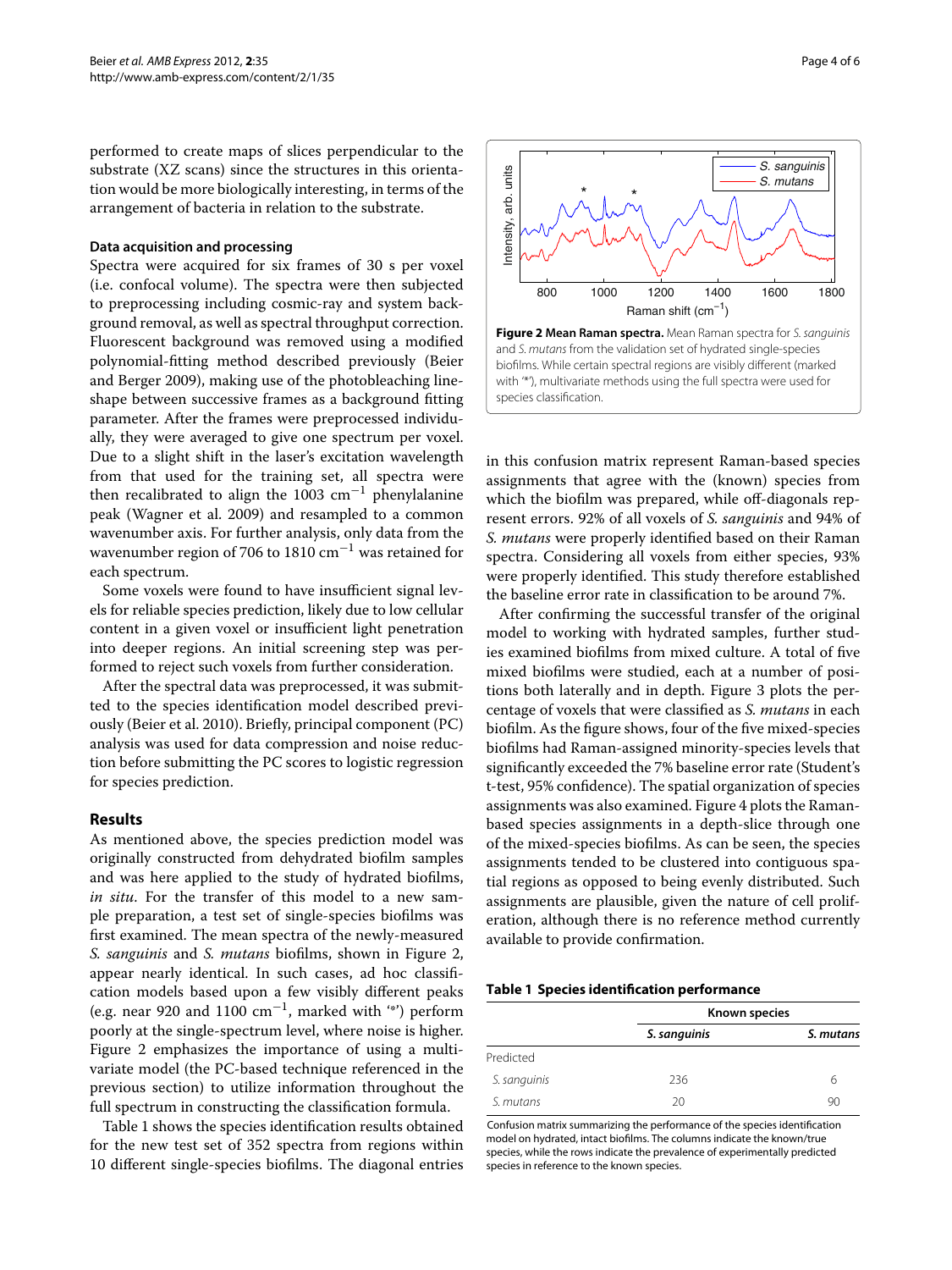performed to create maps of slices perpendicular to the substrate (XZ scans) since the structures in this orientation would be more biologically interesting, in terms of the arrangement of bacteria in relation to the substrate.

#### **Data acquisition and processing**

Spectra were acquired for six frames of 30 s per voxel (i.e. confocal volume). The spectra were then subjected to preprocessing including cosmic-ray and system background removal, as well as spectral throughput correction. Fluorescent background was removed using a modified polynomial-fitting method described previously (Beier and Berger [2009\)](#page-5-9), making use of the photobleaching lineshape between successive frames as a background fitting parameter. After the frames were preprocessed individually, they were averaged to give one spectrum per voxel. Due to a slight shift in the laser's excitation wavelength from that used for the training set, all spectra were then recalibrated to align the 1003 cm<sup>-1</sup> phenylalanine peak (Wagner et al. [2009\)](#page-5-11) and resampled to a common wavenumber axis. For further analysis, only data from the wavenumber region of 706 to 1810  $cm^{-1}$  was retained for each spectrum.

Some voxels were found to have insufficient signal levels for reliable species prediction, likely due to low cellular content in a given voxel or insufficient light penetration into deeper regions. An initial screening step was performed to reject such voxels from further consideration.

After the spectral data was preprocessed, it was submitted to the species identification model described previously (Beier et al. [2010\)](#page-5-8). Briefly, principal component (PC) analysis was used for data compression and noise reduction before submitting the PC scores to logistic regression for species prediction.

#### **Results**

As mentioned above, the species prediction model was originally constructed from dehydrated biofilm samples and was here applied to the study of hydrated biofilms, *in situ*. For the transfer of this model to a new sample preparation, a test set of single-species biofilms was first examined. The mean spectra of the newly-measured *S. sanguinis* and *S. mutans* biofilms, shown in Figure [2,](#page-3-0) appear nearly identical. In such cases, ad hoc classification models based upon a few visibly different peaks (e.g. near 920 and 1100 cm−1, marked with '\*') perform poorly at the single-spectrum level, where noise is higher. Figure [2](#page-3-0) emphasizes the importance of using a multivariate model (the PC-based technique referenced in the previous section) to utilize information throughout the full spectrum in constructing the classification formula.

Table [1](#page-3-1) shows the species identification results obtained for the new test set of 352 spectra from regions within 10 different single-species biofilms. The diagonal entries



<span id="page-3-0"></span>in this confusion matrix represent Raman-based species assignments that agree with the (known) species from which the biofilm was prepared, while off-diagonals represent errors. 92% of all voxels of *S. sanguinis* and 94% of *S. mutans* were properly identified based on their Raman spectra. Considering all voxels from either species, 93% were properly identified. This study therefore established the baseline error rate in classification to be around 7%.

After confirming the successful transfer of the original model to working with hydrated samples, further studies examined biofilms from mixed culture. A total of five mixed biofilms were studied, each at a number of positions both laterally and in depth. Figure [3](#page-4-0) plots the percentage of voxels that were classified as *S. mutans* in each biofilm. As the figure shows, four of the five mixed-species biofilms had Raman-assigned minority-species levels that significantly exceeded the 7% baseline error rate (Student's t-test, 95% confidence). The spatial organization of species assignments was also examined. Figure [4](#page-4-1) plots the Ramanbased species assignments in a depth-slice through one of the mixed-species biofilms. As can be seen, the species assignments tended to be clustered into contiguous spatial regions as opposed to being evenly distributed. Such assignments are plausible, given the nature of cell proliferation, although there is no reference method currently available to provide confirmation.

#### **Table 1 Species identification performance**

<span id="page-3-1"></span>

|              | Known species |           |
|--------------|---------------|-----------|
|              | S. sanguinis  | S. mutans |
| Predicted    |               |           |
| S. sanguinis | 236           | 6         |
| S. mutans    | 20            | 90        |

Confusion matrix summarizing the performance of the species identification model on hydrated, intact biofilms. The columns indicate the known/true species, while the rows indicate the prevalence of experimentally predicted species in reference to the known species.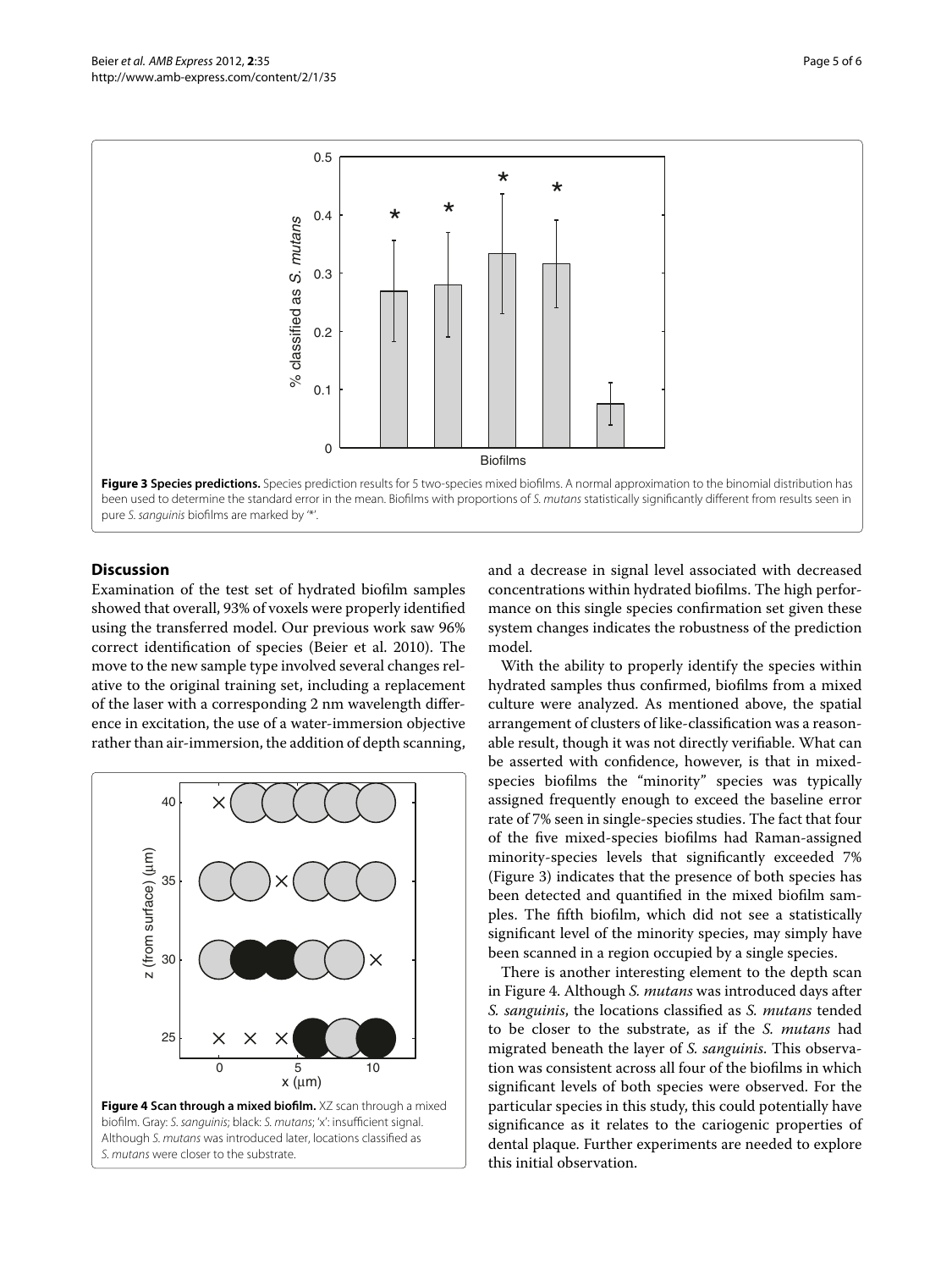

# <span id="page-4-0"></span>**Discussion**

Examination of the test set of hydrated biofilm samples showed that overall, 93% of voxels were properly identified using the transferred model. Our previous work saw 96% correct identification of species (Beier et al. [2010\)](#page-5-8). The move to the new sample type involved several changes relative to the original training set, including a replacement of the laser with a corresponding 2 nm wavelength difference in excitation, the use of a water-immersion objective rather than air-immersion, the addition of depth scanning,



and a decrease in signal level associated with decreased concentrations within hydrated biofilms. The high performance on this single species confirmation set given these system changes indicates the robustness of the prediction model.

With the ability to properly identify the species within hydrated samples thus confirmed, biofilms from a mixed culture were analyzed. As mentioned above, the spatial arrangement of clusters of like-classification was a reasonable result, though it was not directly verifiable. What can be asserted with confidence, however, is that in mixedspecies biofilms the "minority" species was typically assigned frequently enough to exceed the baseline error rate of 7% seen in single-species studies. The fact that four of the five mixed-species biofilms had Raman-assigned minority-species levels that significantly exceeded 7% (Figure [3\)](#page-4-0) indicates that the presence of both species has been detected and quantified in the mixed biofilm samples. The fifth biofilm, which did not see a statistically significant level of the minority species, may simply have been scanned in a region occupied by a single species.

<span id="page-4-1"></span>There is another interesting element to the depth scan in Figure [4.](#page-4-1) Although *S. mutans* was introduced days after *S. sanguinis*, the locations classified as *S. mutans* tended to be closer to the substrate, as if the *S. mutans* had migrated beneath the layer of *S. sanguinis*. This observation was consistent across all four of the biofilms in which significant levels of both species were observed. For the particular species in this study, this could potentially have significance as it relates to the cariogenic properties of dental plaque. Further experiments are needed to explore this initial observation.